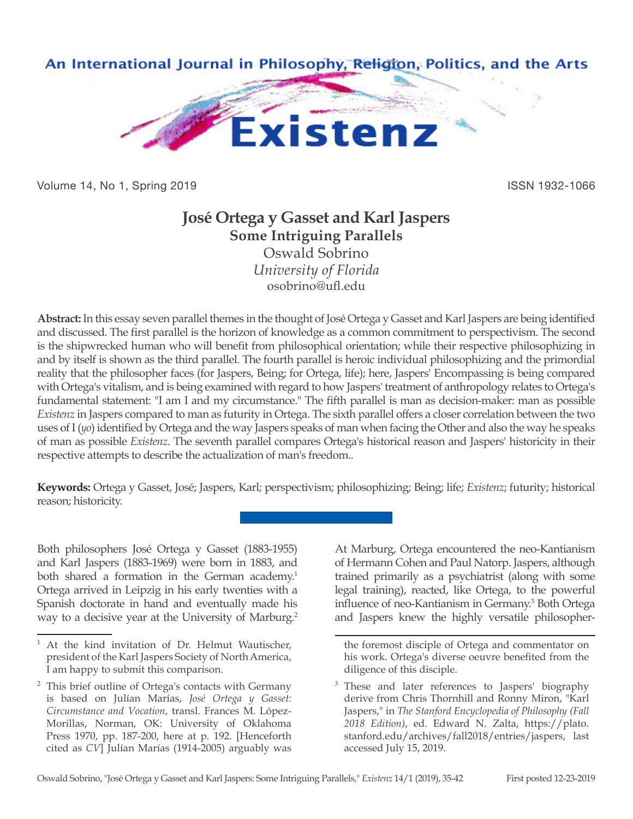

Volume 14, No 1, Spring 2019 **ISSN 1932-1066** ISSN 1932-1066

# **José Ortega y Gasset and Karl Jaspers Some Intriguing Parallels**

Oswald Sobrino *University of Florida* osobrino@ufl.edu

**Abstract:** In this essay seven parallel themes in the thought of José Ortega y Gasset and Karl Jaspers are being identified and discussed. The first parallel is the horizon of knowledge as a common commitment to perspectivism. The second is the shipwrecked human who will benefit from philosophical orientation; while their respective philosophizing in and by itself is shown as the third parallel. The fourth parallel is heroic individual philosophizing and the primordial reality that the philosopher faces (for Jaspers, Being; for Ortega, life); here, Jaspers' Encompassing is being compared with Ortega's vitalism, and is being examined with regard to how Jaspers' treatment of anthropology relates to Ortega's fundamental statement: "I am I and my circumstance." The fifth parallel is man as decision-maker: man as possible *Existenz* in Jaspers compared to man as futurity in Ortega. The sixth parallel offers a closer correlation between the two uses of I (*yo*) identified by Ortega and the way Jaspers speaks of man when facing the Other and also the way he speaks of man as possible *Existenz*. The seventh parallel compares Ortega's historical reason and Jaspers' historicity in their respective attempts to describe the actualization of man's freedom..

**Keywords:** Ortega y Gasset, José; Jaspers, Karl; perspectivism; philosophizing; Being; life; *Existenz*; futurity; historical reason; historicity.

Both philosophers José Ortega y Gasset (1883-1955) and Karl Jaspers (1883-1969) were born in 1883, and both shared a formation in the German academy.<sup>1</sup> Ortega arrived in Leipzig in his early twenties with a Spanish doctorate in hand and eventually made his way to a decisive year at the University of Marburg.<sup>2</sup>

At Marburg, Ortega encountered the neo-Kantianism of Hermann Cohen and Paul Natorp. Jaspers, although trained primarily as a psychiatrist (along with some legal training), reacted, like Ortega, to the powerful influence of neo-Kantianism in Germany.<sup>3</sup> Both Ortega and Jaspers knew the highly versatile philosopher-

At the kind invitation of Dr. Helmut Wautischer, president of the Karl Jaspers Society of North America, I am happy to submit this comparison.

<sup>&</sup>lt;sup>2</sup> This brief outline of Ortega's contacts with Germany is based on Julían Marías, *José Ortega y Gasset: Circumstance and Vocation*, transl. Frances M. López-Morillas, Norman, OK: University of Oklahoma Press 1970, pp. 187-200, here at p. 192. [Henceforth cited as *CV*] Julían Marías (1914-2005) arguably was

the foremost disciple of Ortega and commentator on his work. Ortega's diverse oeuvre benefited from the diligence of this disciple.

<sup>&</sup>lt;sup>3</sup> These and later references to Jaspers' biography derive from Chris Thornhill and Ronny Miron, "Karl Jaspers," in *The Stanford Encyclopedia of Philosophy (Fall 2018 Edition)*, ed. Edward N. Zalta, https://plato. stanford.edu/archives/fall2018/entries/jaspers, last accessed July 15, 2019.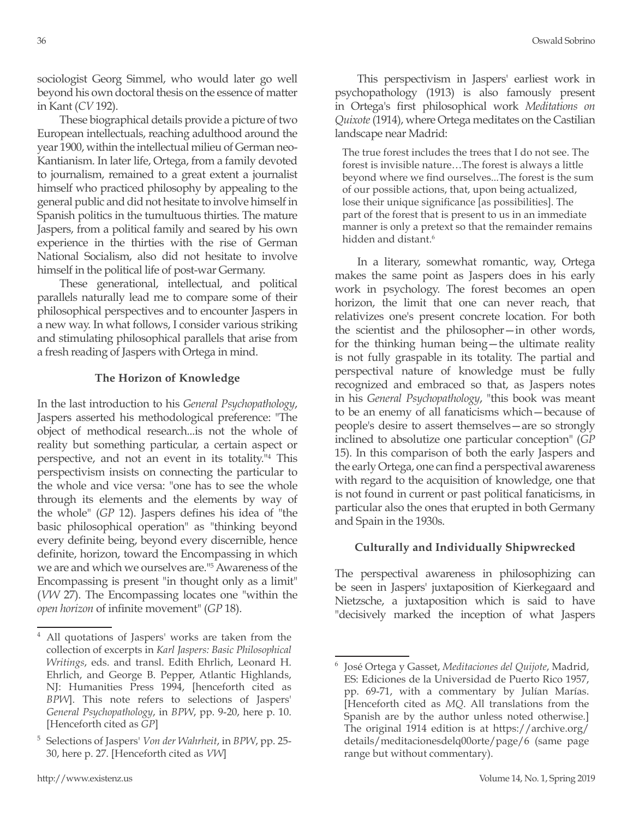sociologist Georg Simmel, who would later go well beyond his own doctoral thesis on the essence of matter in Kant (*CV* 192).

These biographical details provide a picture of two European intellectuals, reaching adulthood around the year 1900, within the intellectual milieu of German neo-Kantianism. In later life, Ortega, from a family devoted to journalism, remained to a great extent a journalist himself who practiced philosophy by appealing to the general public and did not hesitate to involve himself in Spanish politics in the tumultuous thirties. The mature Jaspers, from a political family and seared by his own experience in the thirties with the rise of German National Socialism, also did not hesitate to involve himself in the political life of post-war Germany.

These generational, intellectual, and political parallels naturally lead me to compare some of their philosophical perspectives and to encounter Jaspers in a new way. In what follows, I consider various striking and stimulating philosophical parallels that arise from a fresh reading of Jaspers with Ortega in mind.

### **The Horizon of Knowledge**

In the last introduction to his *General Psychopathology*, Jaspers asserted his methodological preference: "The object of methodical research...is not the whole of reality but something particular, a certain aspect or perspective, and not an event in its totality."4 This perspectivism insists on connecting the particular to the whole and vice versa: "one has to see the whole through its elements and the elements by way of the whole" (*GP* 12). Jaspers defines his idea of "the basic philosophical operation" as "thinking beyond every definite being, beyond every discernible, hence definite, horizon, toward the Encompassing in which we are and which we ourselves are."5 Awareness of the Encompassing is present "in thought only as a limit" (*VW* 27). The Encompassing locates one "within the *open horizon* of infinite movement" (*GP* 18).

This perspectivism in Jaspers' earliest work in psychopathology (1913) is also famously present in Ortega's first philosophical work *Meditations on Quixote* (1914), where Ortega meditates on the Castilian landscape near Madrid:

The true forest includes the trees that I do not see. The forest is invisible nature…The forest is always a little beyond where we find ourselves...The forest is the sum of our possible actions, that, upon being actualized, lose their unique significance [as possibilities]. The part of the forest that is present to us in an immediate manner is only a pretext so that the remainder remains hidden and distant.<sup>6</sup>

In a literary, somewhat romantic, way, Ortega makes the same point as Jaspers does in his early work in psychology. The forest becomes an open horizon, the limit that one can never reach, that relativizes one's present concrete location. For both the scientist and the philosopher—in other words, for the thinking human being—the ultimate reality is not fully graspable in its totality. The partial and perspectival nature of knowledge must be fully recognized and embraced so that, as Jaspers notes in his *General Psychopathology*, "this book was meant to be an enemy of all fanaticisms which—because of people's desire to assert themselves—are so strongly inclined to absolutize one particular conception" (*GP* 15). In this comparison of both the early Jaspers and the early Ortega, one can find a perspectival awareness with regard to the acquisition of knowledge, one that is not found in current or past political fanaticisms, in particular also the ones that erupted in both Germany and Spain in the 1930s.

# **Culturally and Individually Shipwrecked**

The perspectival awareness in philosophizing can be seen in Jaspers' juxtaposition of Kierkegaard and Nietzsche, a juxtaposition which is said to have "decisively marked the inception of what Jaspers

<sup>4</sup> All quotations of Jaspers' works are taken from the collection of excerpts in *Karl Jaspers: Basic Philosophical Writings*, eds. and transl. Edith Ehrlich, Leonard H. Ehrlich, and George B. Pepper, Atlantic Highlands, NJ: Humanities Press 1994, [henceforth cited as *BPW*]. This note refers to selections of Jaspers' *General Psychopathology*, in *BPW*, pp. 9-20, here p. 10. [Henceforth cited as *GP*]

<sup>5</sup> Selections of Jaspers' *Von der Wahrheit*, in *BPW*, pp. 25- 30, here p. 27. [Henceforth cited as *VW*]

<sup>6</sup> José Ortega y Gasset, *Meditaciones del Quijote*, Madrid, ES: Ediciones de la Universidad de Puerto Rico 1957, pp. 69-71, with a commentary by Julían Marías. [Henceforth cited as *MQ*. All translations from the Spanish are by the author unless noted otherwise.] The original 1914 edition is at https://archive.org/ details/meditacionesdelq00orte/page/6 (same page range but without commentary).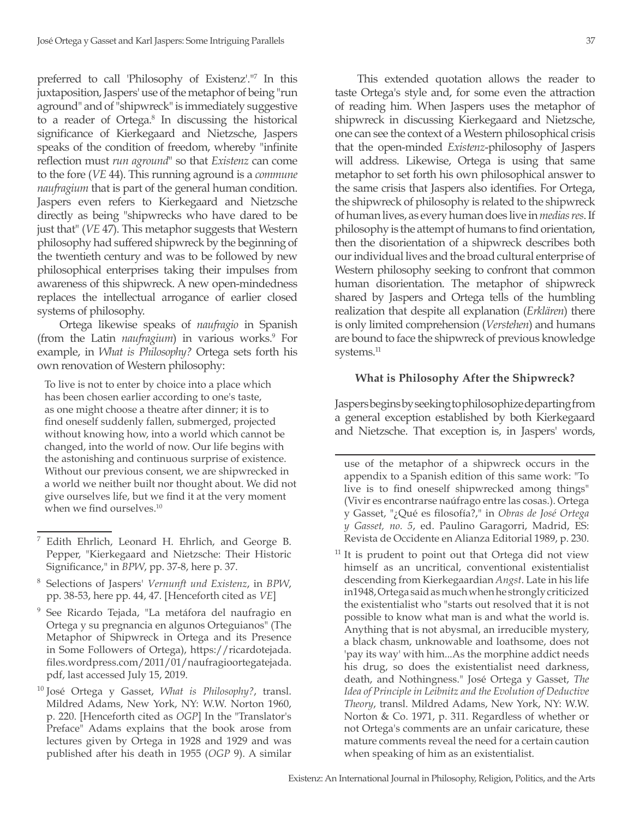preferred to call 'Philosophy of Existenz'."7 In this juxtaposition, Jaspers' use of the metaphor of being "run aground" and of "shipwreck" is immediately suggestive to a reader of Ortega.<sup>8</sup> In discussing the historical significance of Kierkegaard and Nietzsche, Jaspers speaks of the condition of freedom, whereby "infinite reflection must *run aground*" so that *Existenz* can come to the fore (*VE* 44). This running aground is a *commune naufragium* that is part of the general human condition. Jaspers even refers to Kierkegaard and Nietzsche directly as being "shipwrecks who have dared to be just that" (*VE* 47). This metaphor suggests that Western philosophy had suffered shipwreck by the beginning of the twentieth century and was to be followed by new philosophical enterprises taking their impulses from awareness of this shipwreck. A new open-mindedness replaces the intellectual arrogance of earlier closed systems of philosophy.

Ortega likewise speaks of *naufragio* in Spanish (from the Latin *naufragium*) in various works.<sup>9</sup> For example, in *What is Philosophy?* Ortega sets forth his own renovation of Western philosophy:

To live is not to enter by choice into a place which has been chosen earlier according to one's taste, as one might choose a theatre after dinner; it is to find oneself suddenly fallen, submerged, projected without knowing how, into a world which cannot be changed, into the world of now. Our life begins with the astonishing and continuous surprise of existence. Without our previous consent, we are shipwrecked in a world we neither built nor thought about. We did not give ourselves life, but we find it at the very moment when we find ourselves.<sup>10</sup>

- <sup>8</sup> Selections of Jaspers' *Vernunft und Existenz*, in *BPW*, pp. 38-53, here pp. 44, 47. [Henceforth cited as *VE*]
- <sup>9</sup> See Ricardo Tejada, "La metáfora del naufragio en Ortega y su pregnancia en algunos Orteguianos" (The Metaphor of Shipwreck in Ortega and its Presence in Some Followers of Ortega), https://ricardotejada. files.wordpress.com/2011/01/naufragioortegatejada. pdf, last accessed July 15, 2019.
- <sup>10</sup> José Ortega y Gasset, *What is Philosophy?*, transl. Mildred Adams, New York, NY: W.W. Norton 1960, p. 220. [Henceforth cited as *OGP*] In the "Translator's Preface" Adams explains that the book arose from lectures given by Ortega in 1928 and 1929 and was published after his death in 1955 (*OGP* 9). A similar

This extended quotation allows the reader to taste Ortega's style and, for some even the attraction of reading him. When Jaspers uses the metaphor of shipwreck in discussing Kierkegaard and Nietzsche, one can see the context of a Western philosophical crisis that the open-minded *Existenz*-philosophy of Jaspers will address. Likewise, Ortega is using that same metaphor to set forth his own philosophical answer to the same crisis that Jaspers also identifies. For Ortega, the shipwreck of philosophy is related to the shipwreck of human lives, as every human does live in *medias res*. If philosophy is the attempt of humans to find orientation, then the disorientation of a shipwreck describes both our individual lives and the broad cultural enterprise of Western philosophy seeking to confront that common human disorientation. The metaphor of shipwreck shared by Jaspers and Ortega tells of the humbling realization that despite all explanation (*Erklären*) there is only limited comprehension (*Verstehen*) and humans are bound to face the shipwreck of previous knowledge systems.<sup>11</sup>

#### **What is Philosophy After the Shipwreck?**

Jaspers begins by seeking to philosophize departing from a general exception established by both Kierkegaard and Nietzsche. That exception is, in Jaspers' words,

use of the metaphor of a shipwreck occurs in the appendix to a Spanish edition of this same work: "To live is to find oneself shipwrecked among things" (Vivir es encontrarse naúfrago entre las cosas.). Ortega y Gasset, "¿Qué es filosofía?," in *Obras de José Ortega y Gasset, no. 5*, ed. Paulino Garagorri, Madrid, ES: Revista de Occidente en Alianza Editorial 1989, p. 230.

<sup>11</sup> It is prudent to point out that Ortega did not view himself as an uncritical, conventional existentialist descending from Kierkegaardian *Angst*. Late in his life in1948, Ortega said as much when he strongly criticized the existentialist who "starts out resolved that it is not possible to know what man is and what the world is. Anything that is not abysmal, an irreducible mystery, a black chasm, unknowable and loathsome, does not 'pay its way' with him...As the morphine addict needs his drug, so does the existentialist need darkness, death, and Nothingness." José Ortega y Gasset, *The Idea of Principle in Leibnitz and the Evolution of Deductive Theory*, transl. Mildred Adams, New York, NY: W.W. Norton & Co. 1971, p. 311. Regardless of whether or not Ortega's comments are an unfair caricature, these mature comments reveal the need for a certain caution when speaking of him as an existentialist.

Edith Ehrlich, Leonard H. Ehrlich, and George B. Pepper, "Kierkegaard and Nietzsche: Their Historic Significance," in *BPW*, pp. 37-8, here p. 37.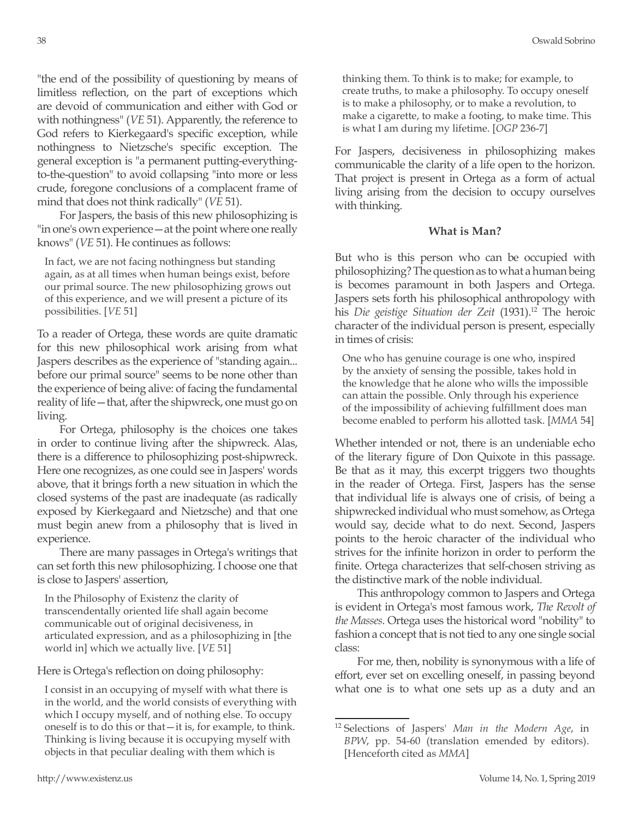"the end of the possibility of questioning by means of limitless reflection, on the part of exceptions which are devoid of communication and either with God or with nothingness" (*VE* 51). Apparently, the reference to God refers to Kierkegaard's specific exception, while nothingness to Nietzsche's specific exception. The general exception is "a permanent putting-everythingto-the-question" to avoid collapsing "into more or less crude, foregone conclusions of a complacent frame of mind that does not think radically" (*VE* 51).

For Jaspers, the basis of this new philosophizing is "in one's own experience—at the point where one really knows" (*VE* 51). He continues as follows:

In fact, we are not facing nothingness but standing again, as at all times when human beings exist, before our primal source. The new philosophizing grows out of this experience, and we will present a picture of its possibilities. [*VE* 51]

To a reader of Ortega, these words are quite dramatic for this new philosophical work arising from what Jaspers describes as the experience of "standing again... before our primal source" seems to be none other than the experience of being alive: of facing the fundamental reality of life—that, after the shipwreck, one must go on living.

For Ortega, philosophy is the choices one takes in order to continue living after the shipwreck. Alas, there is a difference to philosophizing post-shipwreck. Here one recognizes, as one could see in Jaspers' words above, that it brings forth a new situation in which the closed systems of the past are inadequate (as radically exposed by Kierkegaard and Nietzsche) and that one must begin anew from a philosophy that is lived in experience.

There are many passages in Ortega's writings that can set forth this new philosophizing. I choose one that is close to Jaspers' assertion,

In the Philosophy of Existenz the clarity of transcendentally oriented life shall again become communicable out of original decisiveness, in articulated expression, and as a philosophizing in [the world in] which we actually live. [*VE* 51]

Here is Ortega's reflection on doing philosophy:

I consist in an occupying of myself with what there is in the world, and the world consists of everything with which I occupy myself, and of nothing else. To occupy oneself is to do this or that—it is, for example, to think. Thinking is living because it is occupying myself with objects in that peculiar dealing with them which is

thinking them. To think is to make; for example, to create truths, to make a philosophy. To occupy oneself is to make a philosophy, or to make a revolution, to make a cigarette, to make a footing, to make time. This is what I am during my lifetime. [*OGP* 236-7]

For Jaspers, decisiveness in philosophizing makes communicable the clarity of a life open to the horizon. That project is present in Ortega as a form of actual living arising from the decision to occupy ourselves with thinking.

### **What is Man?**

But who is this person who can be occupied with philosophizing? The question as to what a human being is becomes paramount in both Jaspers and Ortega. Jaspers sets forth his philosophical anthropology with his *Die geistige Situation der Zeit* (1931).<sup>12</sup> The heroic character of the individual person is present, especially in times of crisis:

One who has genuine courage is one who, inspired by the anxiety of sensing the possible, takes hold in the knowledge that he alone who wills the impossible can attain the possible. Only through his experience of the impossibility of achieving fulfillment does man become enabled to perform his allotted task. [*MMA* 54]

Whether intended or not, there is an undeniable echo of the literary figure of Don Quixote in this passage. Be that as it may, this excerpt triggers two thoughts in the reader of Ortega. First, Jaspers has the sense that individual life is always one of crisis, of being a shipwrecked individual who must somehow, as Ortega would say, decide what to do next. Second, Jaspers points to the heroic character of the individual who strives for the infinite horizon in order to perform the finite. Ortega characterizes that self-chosen striving as the distinctive mark of the noble individual.

This anthropology common to Jaspers and Ortega is evident in Ortega's most famous work, *The Revolt of the Masses*. Ortega uses the historical word "nobility" to fashion a concept that is not tied to any one single social class:

For me, then, nobility is synonymous with a life of effort, ever set on excelling oneself, in passing beyond what one is to what one sets up as a duty and an

<sup>12</sup> Selections of Jaspers' *Man in the Modern Age*, in *BPW*, pp. 54-60 (translation emended by editors). [Henceforth cited as *MMA*]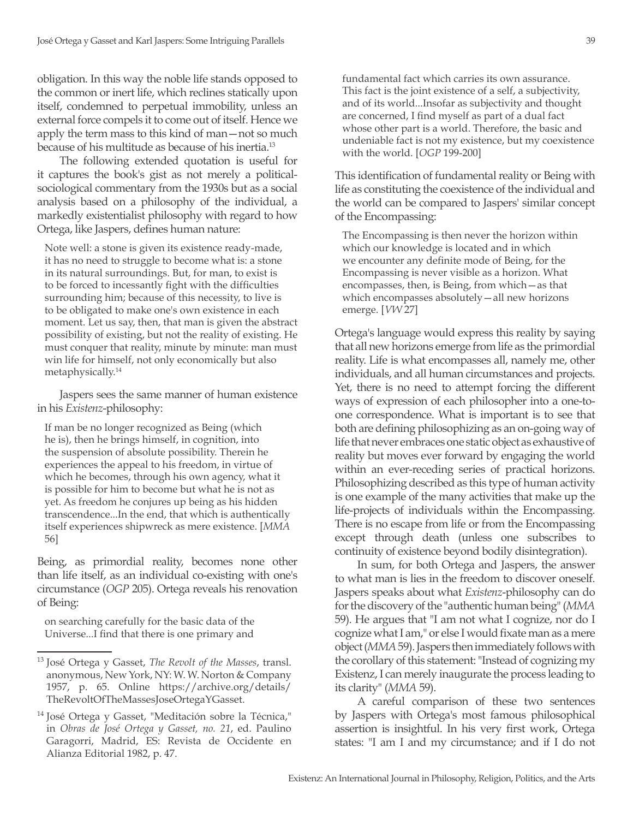obligation. In this way the noble life stands opposed to the common or inert life, which reclines statically upon itself, condemned to perpetual immobility, unless an external force compels it to come out of itself. Hence we apply the term mass to this kind of man—not so much because of his multitude as because of his inertia.13

The following extended quotation is useful for it captures the book's gist as not merely a politicalsociological commentary from the 1930s but as a social analysis based on a philosophy of the individual, a markedly existentialist philosophy with regard to how Ortega, like Jaspers, defines human nature:

Note well: a stone is given its existence ready-made, it has no need to struggle to become what is: a stone in its natural surroundings. But, for man, to exist is to be forced to incessantly fight with the difficulties surrounding him; because of this necessity, to live is to be obligated to make one's own existence in each moment. Let us say, then, that man is given the abstract possibility of existing, but not the reality of existing. He must conquer that reality, minute by minute: man must win life for himself, not only economically but also metaphysically.14

Jaspers sees the same manner of human existence in his *Existenz*-philosophy:

If man be no longer recognized as Being (which he is), then he brings himself, in cognition, into the suspension of absolute possibility. Therein he experiences the appeal to his freedom, in virtue of which he becomes, through his own agency, what it is possible for him to become but what he is not as yet. As freedom he conjures up being as his hidden transcendence...In the end, that which is authentically itself experiences shipwreck as mere existence. [*MMA* 56]

Being, as primordial reality, becomes none other than life itself, as an individual co-existing with one's circumstance (*OGP* 205). Ortega reveals his renovation of Being:

on searching carefully for the basic data of the Universe...I find that there is one primary and fundamental fact which carries its own assurance. This fact is the joint existence of a self, a subjectivity, and of its world...Insofar as subjectivity and thought are concerned, I find myself as part of a dual fact whose other part is a world. Therefore, the basic and undeniable fact is not my existence, but my coexistence with the world. [*OGP* 199-200]

This identification of fundamental reality or Being with life as constituting the coexistence of the individual and the world can be compared to Jaspers' similar concept of the Encompassing:

The Encompassing is then never the horizon within which our knowledge is located and in which we encounter any definite mode of Being, for the Encompassing is never visible as a horizon. What encompasses, then, is Being, from which—as that which encompasses absolutely—all new horizons emerge. [*VW* 27]

Ortega's language would express this reality by saying that all new horizons emerge from life as the primordial reality. Life is what encompasses all, namely me, other individuals, and all human circumstances and projects. Yet, there is no need to attempt forcing the different ways of expression of each philosopher into a one-toone correspondence. What is important is to see that both are defining philosophizing as an on-going way of life that never embraces one static object as exhaustive of reality but moves ever forward by engaging the world within an ever-receding series of practical horizons. Philosophizing described as this type of human activity is one example of the many activities that make up the life-projects of individuals within the Encompassing. There is no escape from life or from the Encompassing except through death (unless one subscribes to continuity of existence beyond bodily disintegration).

In sum, for both Ortega and Jaspers, the answer to what man is lies in the freedom to discover oneself. Jaspers speaks about what *Existenz*-philosophy can do for the discovery of the "authentic human being" (*MMA* 59). He argues that "I am not what I cognize, nor do I cognize what I am," or else I would fixate man as a mere object (*MMA* 59). Jaspers then immediately follows with the corollary of this statement: "Instead of cognizing my Existenz, I can merely inaugurate the process leading to its clarity" (*MMA* 59).

A careful comparison of these two sentences by Jaspers with Ortega's most famous philosophical assertion is insightful. In his very first work, Ortega states: "I am I and my circumstance; and if I do not

<sup>13</sup> José Ortega y Gasset, *The Revolt of the Masses*, transl. anonymous, New York, NY: W. W. Norton & Company 1957, p. 65. Online https://archive.org/details/ TheRevoltOfTheMassesJoseOrtegaYGasset.

<sup>14</sup> José Ortega y Gasset, "Meditación sobre la Técnica," in *Obras de José Ortega y Gasset, no. 21*, ed. Paulino Garagorri, Madrid, ES: Revista de Occidente en Alianza Editorial 1982, p. 47.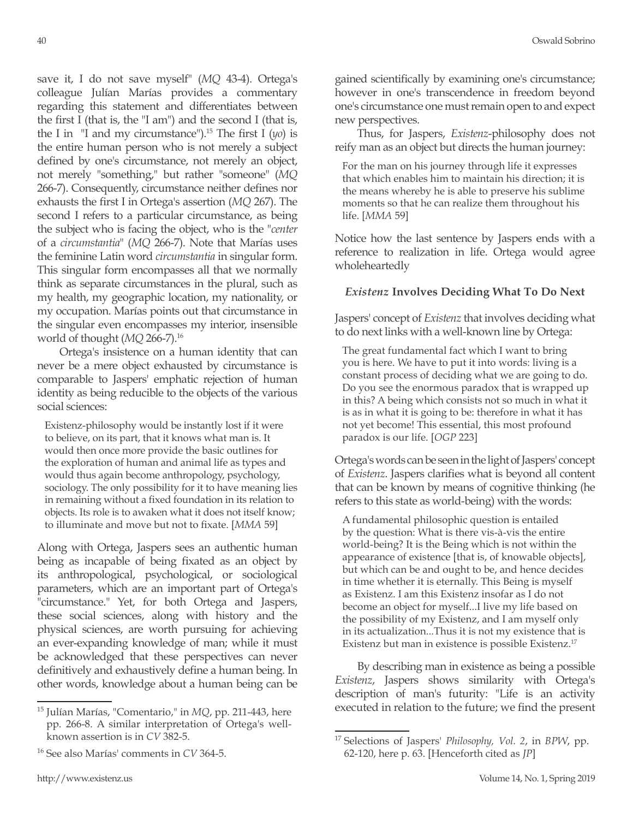save it, I do not save myself" (*MQ* 43-4). Ortega's colleague Julían Marías provides a commentary regarding this statement and differentiates between the first I (that is, the "I am") and the second I (that is, the I in  $\vert$  <sup>II</sup> and my circumstance<sup>"</sup>).<sup>15</sup> The first I ( $y$ o) is the entire human person who is not merely a subject defined by one's circumstance, not merely an object, not merely "something," but rather "someone" (*MQ* 266-7). Consequently, circumstance neither defines nor exhausts the first I in Ortega's assertion (*MQ* 267). The second I refers to a particular circumstance, as being the subject who is facing the object, who is the "*center* of a *circumstantia*" (*MQ* 266-7). Note that Marías uses the feminine Latin word *circumstantia* in singular form. This singular form encompasses all that we normally think as separate circumstances in the plural, such as my health, my geographic location, my nationality, or my occupation. Marías points out that circumstance in the singular even encompasses my interior, insensible world of thought (*MQ* 266-7).16

Ortega's insistence on a human identity that can never be a mere object exhausted by circumstance is comparable to Jaspers' emphatic rejection of human identity as being reducible to the objects of the various social sciences:

Existenz-philosophy would be instantly lost if it were to believe, on its part, that it knows what man is. It would then once more provide the basic outlines for the exploration of human and animal life as types and would thus again become anthropology, psychology, sociology. The only possibility for it to have meaning lies in remaining without a fixed foundation in its relation to objects. Its role is to awaken what it does not itself know; to illuminate and move but not to fixate. [*MMA* 59]

Along with Ortega, Jaspers sees an authentic human being as incapable of being fixated as an object by its anthropological, psychological, or sociological parameters, which are an important part of Ortega's "circumstance." Yet, for both Ortega and Jaspers, these social sciences, along with history and the physical sciences, are worth pursuing for achieving an ever-expanding knowledge of man; while it must be acknowledged that these perspectives can never definitively and exhaustively define a human being. In other words, knowledge about a human being can be gained scientifically by examining one's circumstance; however in one's transcendence in freedom beyond one's circumstance one must remain open to and expect new perspectives.

Thus, for Jaspers, *Existenz*-philosophy does not reify man as an object but directs the human journey:

For the man on his journey through life it expresses that which enables him to maintain his direction; it is the means whereby he is able to preserve his sublime moments so that he can realize them throughout his life. [*MMA* 59]

Notice how the last sentence by Jaspers ends with a reference to realization in life. Ortega would agree wholeheartedly

# *Existenz* **Involves Deciding What To Do Next**

Jaspers' concept of *Existenz* that involves deciding what to do next links with a well-known line by Ortega:

The great fundamental fact which I want to bring you is here. We have to put it into words: living is a constant process of deciding what we are going to do. Do you see the enormous paradox that is wrapped up in this? A being which consists not so much in what it is as in what it is going to be: therefore in what it has not yet become! This essential, this most profound paradox is our life. [*OGP* 223]

Ortega's words can be seen in the light of Jaspers' concept of *Existenz*. Jaspers clarifies what is beyond all content that can be known by means of cognitive thinking (he refers to this state as world-being) with the words:

A fundamental philosophic question is entailed by the question: What is there vis-à-vis the entire world-being? It is the Being which is not within the appearance of existence [that is, of knowable objects], but which can be and ought to be, and hence decides in time whether it is eternally. This Being is myself as Existenz. I am this Existenz insofar as I do not become an object for myself...I live my life based on the possibility of my Existenz, and I am myself only in its actualization...Thus it is not my existence that is Existenz but man in existence is possible Existenz.17

By describing man in existence as being a possible *Existenz*, Jaspers shows similarity with Ortega's description of man's futurity: "Life is an activity executed in relation to the future; we find the present

<sup>15</sup> Julían Marías, "Comentario," in *MQ*, pp. 211-443, here pp. 266-8. A similar interpretation of Ortega's wellknown assertion is in *CV* 382-5.

<sup>16</sup> See also Marías' comments in *CV* 364-5.

<sup>17</sup> Selections of Jaspers' *Philosophy, Vol. 2*, in *BPW*, pp. 62-120, here p. 63. [Henceforth cited as *JP*]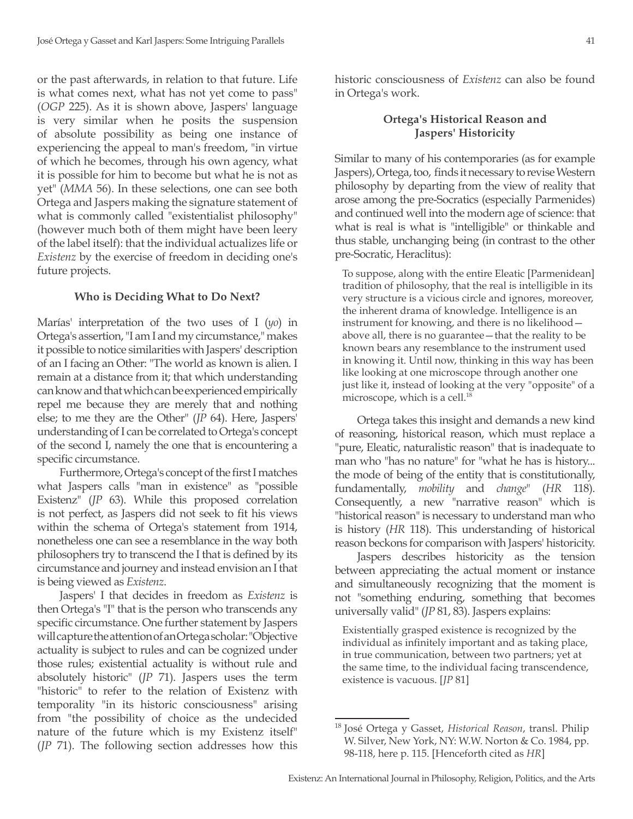or the past afterwards, in relation to that future. Life is what comes next, what has not yet come to pass" (*OGP* 225). As it is shown above, Jaspers' language is very similar when he posits the suspension of absolute possibility as being one instance of experiencing the appeal to man's freedom, "in virtue of which he becomes, through his own agency, what it is possible for him to become but what he is not as yet" (*MMA* 56). In these selections, one can see both Ortega and Jaspers making the signature statement of what is commonly called "existentialist philosophy" (however much both of them might have been leery of the label itself): that the individual actualizes life or *Existenz* by the exercise of freedom in deciding one's future projects.

#### **Who is Deciding What to Do Next?**

Marías' interpretation of the two uses of I (*yo*) in Ortega's assertion, "I am I and my circumstance," makes it possible to notice similarities with Jaspers' description of an I facing an Other: "The world as known is alien. I remain at a distance from it; that which understanding can know and that which can be experienced empirically repel me because they are merely that and nothing else; to me they are the Other" (*JP* 64). Here, Jaspers' understanding of I can be correlated to Ortega's concept of the second I, namely the one that is encountering a specific circumstance.

Furthermore, Ortega's concept of the first I matches what Jaspers calls "man in existence" as "possible Existenz" (*JP* 63). While this proposed correlation is not perfect, as Jaspers did not seek to fit his views within the schema of Ortega's statement from 1914, nonetheless one can see a resemblance in the way both philosophers try to transcend the I that is defined by its circumstance and journey and instead envision an I that is being viewed as *Existenz*.

Jaspers' I that decides in freedom as *Existenz* is then Ortega's "I" that is the person who transcends any specific circumstance. One further statement by Jaspers will capture the attention of an Ortega scholar: "Objective actuality is subject to rules and can be cognized under those rules; existential actuality is without rule and absolutely historic" (*JP* 71). Jaspers uses the term "historic" to refer to the relation of Existenz with temporality "in its historic consciousness" arising from "the possibility of choice as the undecided nature of the future which is my Existenz itself" (*JP* 71). The following section addresses how this

historic consciousness of *Existenz* can also be found in Ortega's work.

#### **Ortega's Historical Reason and Jaspers' Historicity**

Similar to many of his contemporaries (as for example Jaspers), Ortega, too, finds it necessary to revise Western philosophy by departing from the view of reality that arose among the pre-Socratics (especially Parmenides) and continued well into the modern age of science: that what is real is what is "intelligible" or thinkable and thus stable, unchanging being (in contrast to the other pre-Socratic, Heraclitus):

To suppose, along with the entire Eleatic [Parmenidean] tradition of philosophy, that the real is intelligible in its very structure is a vicious circle and ignores, moreover, the inherent drama of knowledge. Intelligence is an instrument for knowing, and there is no likelihood above all, there is no guarantee—that the reality to be known bears any resemblance to the instrument used in knowing it. Until now, thinking in this way has been like looking at one microscope through another one just like it, instead of looking at the very "opposite" of a microscope, which is a cell.<sup>18</sup>

Ortega takes this insight and demands a new kind of reasoning, historical reason, which must replace a "pure, Eleatic, naturalistic reason" that is inadequate to man who "has no nature" for "what he has is history... the mode of being of the entity that is constitutionally, fundamentally, *mobility* and *change*" (*HR* 118). Consequently, a new "narrative reason" which is "historical reason" is necessary to understand man who is history (*HR* 118). This understanding of historical reason beckons for comparison with Jaspers' historicity.

Jaspers describes historicity as the tension between appreciating the actual moment or instance and simultaneously recognizing that the moment is not "something enduring, something that becomes universally valid" (*JP* 81, 83). Jaspers explains:

Existentially grasped existence is recognized by the individual as infinitely important and as taking place, in true communication, between two partners; yet at the same time, to the individual facing transcendence, existence is vacuous. [*JP* 81]

<sup>18</sup> José Ortega y Gasset, *Historical Reason*, transl. Philip W. Silver, New York, NY: W.W. Norton & Co. 1984, pp. 98-118, here p. 115. [Henceforth cited as *HR*]